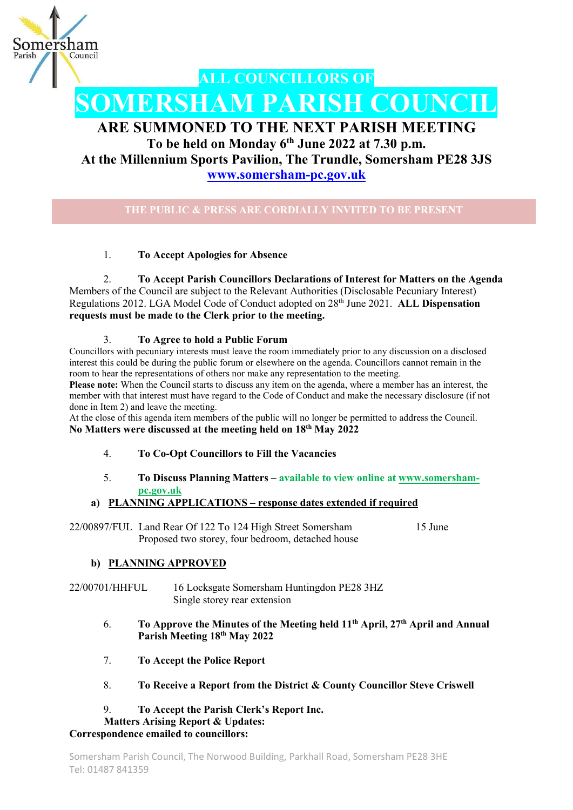

# ALL COUNCILLORS OF OMERSHAM PARISH COUNCIL

# ARE SUMMONED TO THE NEXT PARISH MEETING

To be held on Monday 6<sup>th</sup> June 2022 at 7.30 p.m. At the Millennium Sports Pavilion, The Trundle, Somersham PE28 3JS www.somersham-pc.gov.uk

THE PUBLIC & PRESS ARE CORDIALLY INVITED TO BE PRESENT

1. To Accept Apologies for Absence

2. To Accept Parish Councillors Declarations of Interest for Matters on the Agenda Members of the Council are subject to the Relevant Authorities (Disclosable Pecuniary Interest) Regulations 2012. LGA Model Code of Conduct adopted on 28<sup>th</sup> June 2021. **ALL Dispensation** requests must be made to the Clerk prior to the meeting.

# 3. To Agree to hold a Public Forum

Councillors with pecuniary interests must leave the room immediately prior to any discussion on a disclosed interest this could be during the public forum or elsewhere on the agenda. Councillors cannot remain in the room to hear the representations of others nor make any representation to the meeting.

Please note: When the Council starts to discuss any item on the agenda, where a member has an interest, the member with that interest must have regard to the Code of Conduct and make the necessary disclosure (if not done in Item 2) and leave the meeting.

At the close of this agenda item members of the public will no longer be permitted to address the Council. No Matters were discussed at the meeting held on 18th May 2022

4. To Co-Opt Councillors to Fill the Vacancies

# 5. To Discuss Planning Matters – available to view online at www.somershampc.gov.uk

# a) PLANNING APPLICATIONS – response dates extended if required

22/00897/FUL Land Rear Of 122 To 124 High Street Somersham 15 June Proposed two storey, four bedroom, detached house

# b) PLANNING APPROVED

- 22/00701/HHFUL 16 Locksgate Somersham Huntingdon PE28 3HZ Single storey rear extension
	- 6. To Approve the Minutes of the Meeting held  $11<sup>th</sup>$  April,  $27<sup>th</sup>$  April and Annual Parish Meeting 18th May 2022
	- 7. To Accept the Police Report
	- 8. To Receive a Report from the District & County Councillor Steve Criswell
	- 9. To Accept the Parish Clerk's Report Inc.
	- Matters Arising Report & Updates:

# Correspondence emailed to councillors: